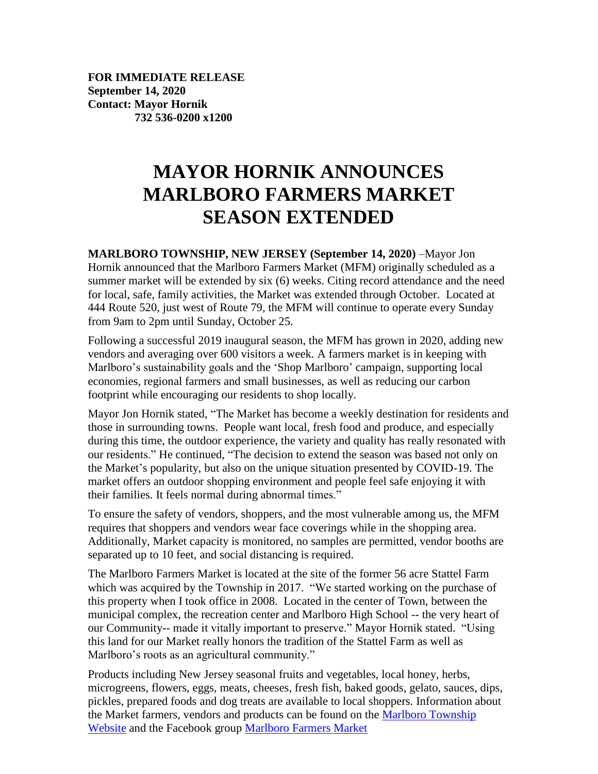**FOR IMMEDIATE RELEASE September 14, 2020 Contact: Mayor Hornik 732 536-0200 x1200**

## **MAYOR HORNIK ANNOUNCES MARLBORO FARMERS MARKET SEASON EXTENDED**

**MARLBORO TOWNSHIP, NEW JERSEY (September 14, 2020)** –Mayor Jon Hornik announced that the Marlboro Farmers Market (MFM) originally scheduled as a summer market will be extended by six (6) weeks. Citing record attendance and the need for local, safe, family activities, the Market was extended through October. Located at 444 Route 520, just west of Route 79, the MFM will continue to operate every Sunday from 9am to 2pm until Sunday, October 25.

Following a successful 2019 inaugural season, the MFM has grown in 2020, adding new vendors and averaging over 600 visitors a week. A farmers market is in keeping with Marlboro's sustainability goals and the 'Shop Marlboro' campaign, supporting local economies, regional farmers and small businesses, as well as reducing our carbon footprint while encouraging our residents to shop locally.

Mayor Jon Hornik stated, "The Market has become a weekly destination for residents and those in surrounding towns. People want local, fresh food and produce, and especially during this time, the outdoor experience, the variety and quality has really resonated with our residents." He continued, "The decision to extend the season was based not only on the Market's popularity, but also on the unique situation presented by COVID-19. The market offers an outdoor shopping environment and people feel safe enjoying it with their families. It feels normal during abnormal times."

To ensure the safety of vendors, shoppers, and the most vulnerable among us, the MFM requires that shoppers and vendors wear face coverings while in the shopping area. Additionally, Market capacity is monitored, no samples are permitted, vendor booths are separated up to 10 feet, and social distancing is required.

The Marlboro Farmers Market is located at the site of the former 56 acre Stattel Farm which was acquired by the Township in 2017. "We started working on the purchase of this property when I took office in 2008. Located in the center of Town, between the municipal complex, the recreation center and Marlboro High School -- the very heart of our Community-- made it vitally important to preserve." Mayor Hornik stated. "Using this land for our Market really honors the tradition of the Stattel Farm as well as Marlboro's roots as an agricultural community."

Products including New Jersey seasonal fruits and vegetables, local honey, herbs, microgreens, flowers, eggs, meats, cheeses, fresh fish, baked goods, gelato, sauces, dips, pickles, prepared foods and dog treats are available to local shoppers. Information about the Market farmers, vendors and products can be found on the [Marlboro Township](https://www.marlboro-nj.gov/farmers-market)  [Website](https://www.marlboro-nj.gov/farmers-market) and the Facebook group [Marlboro Farmers Market](https://www.facebook.com/groups/MarlboroFarmersMarket/)